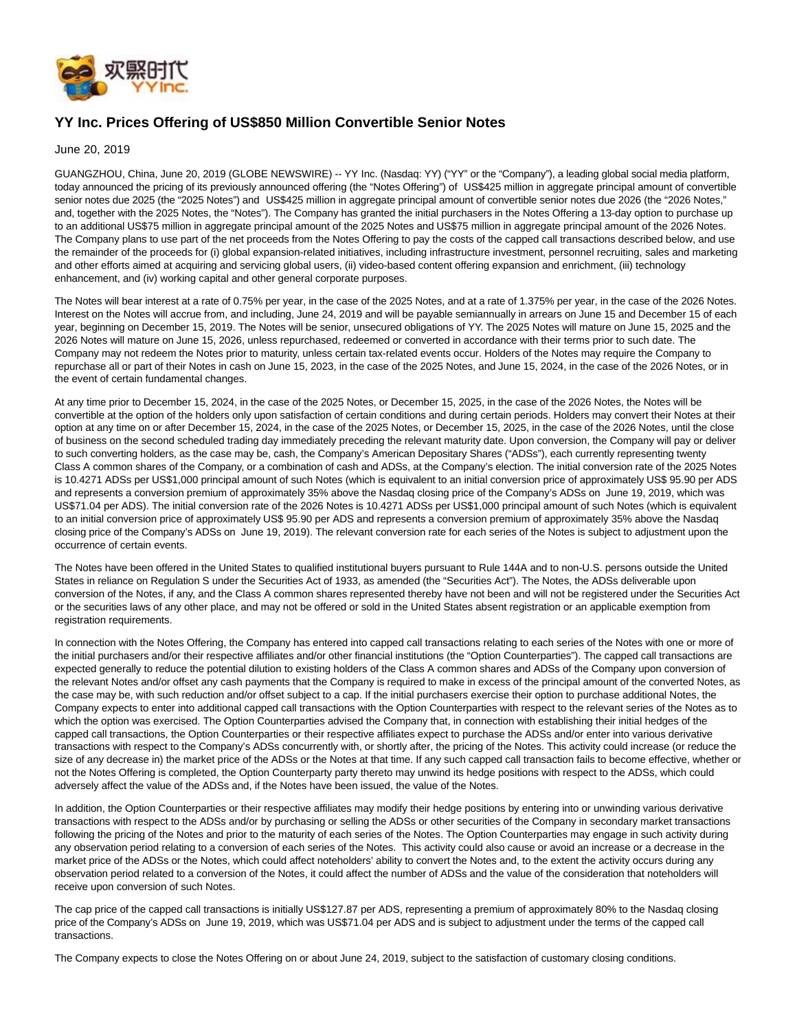

## **YY Inc. Prices Offering of US\$850 Million Convertible Senior Notes**

June 20, 2019

GUANGZHOU, China, June 20, 2019 (GLOBE NEWSWIRE) -- YY Inc. (Nasdaq: YY) ("YY" or the "Company"), a leading global social media platform, today announced the pricing of its previously announced offering (the "Notes Offering") of US\$425 million in aggregate principal amount of convertible senior notes due 2025 (the "2025 Notes") and US\$425 million in aggregate principal amount of convertible senior notes due 2026 (the "2026 Notes," and, together with the 2025 Notes, the "Notes"). The Company has granted the initial purchasers in the Notes Offering a 13-day option to purchase up to an additional US\$75 million in aggregate principal amount of the 2025 Notes and US\$75 million in aggregate principal amount of the 2026 Notes. The Company plans to use part of the net proceeds from the Notes Offering to pay the costs of the capped call transactions described below, and use the remainder of the proceeds for (i) global expansion-related initiatives, including infrastructure investment, personnel recruiting, sales and marketing and other efforts aimed at acquiring and servicing global users, (ii) video-based content offering expansion and enrichment, (iii) technology enhancement, and (iv) working capital and other general corporate purposes.

The Notes will bear interest at a rate of 0.75% per year, in the case of the 2025 Notes, and at a rate of 1.375% per year, in the case of the 2026 Notes. Interest on the Notes will accrue from, and including, June 24, 2019 and will be payable semiannually in arrears on June 15 and December 15 of each year, beginning on December 15, 2019. The Notes will be senior, unsecured obligations of YY. The 2025 Notes will mature on June 15, 2025 and the 2026 Notes will mature on June 15, 2026, unless repurchased, redeemed or converted in accordance with their terms prior to such date. The Company may not redeem the Notes prior to maturity, unless certain tax-related events occur. Holders of the Notes may require the Company to repurchase all or part of their Notes in cash on June 15, 2023, in the case of the 2025 Notes, and June 15, 2024, in the case of the 2026 Notes, or in the event of certain fundamental changes.

At any time prior to December 15, 2024, in the case of the 2025 Notes, or December 15, 2025, in the case of the 2026 Notes, the Notes will be convertible at the option of the holders only upon satisfaction of certain conditions and during certain periods. Holders may convert their Notes at their option at any time on or after December 15, 2024, in the case of the 2025 Notes, or December 15, 2025, in the case of the 2026 Notes, until the close of business on the second scheduled trading day immediately preceding the relevant maturity date. Upon conversion, the Company will pay or deliver to such converting holders, as the case may be, cash, the Company's American Depositary Shares ("ADSs"), each currently representing twenty Class A common shares of the Company, or a combination of cash and ADSs, at the Company's election. The initial conversion rate of the 2025 Notes is 10.4271 ADSs per US\$1,000 principal amount of such Notes (which is equivalent to an initial conversion price of approximately US\$ 95.90 per ADS and represents a conversion premium of approximately 35% above the Nasdaq closing price of the Company's ADSs on June 19, 2019, which was US\$71.04 per ADS). The initial conversion rate of the 2026 Notes is 10.4271 ADSs per US\$1,000 principal amount of such Notes (which is equivalent to an initial conversion price of approximately US\$ 95.90 per ADS and represents a conversion premium of approximately 35% above the Nasdaq closing price of the Company's ADSs on June 19, 2019). The relevant conversion rate for each series of the Notes is subject to adjustment upon the occurrence of certain events.

The Notes have been offered in the United States to qualified institutional buyers pursuant to Rule 144A and to non-U.S. persons outside the United States in reliance on Regulation S under the Securities Act of 1933, as amended (the "Securities Act"). The Notes, the ADSs deliverable upon conversion of the Notes, if any, and the Class A common shares represented thereby have not been and will not be registered under the Securities Act or the securities laws of any other place, and may not be offered or sold in the United States absent registration or an applicable exemption from registration requirements.

In connection with the Notes Offering, the Company has entered into capped call transactions relating to each series of the Notes with one or more of the initial purchasers and/or their respective affiliates and/or other financial institutions (the "Option Counterparties"). The capped call transactions are expected generally to reduce the potential dilution to existing holders of the Class A common shares and ADSs of the Company upon conversion of the relevant Notes and/or offset any cash payments that the Company is required to make in excess of the principal amount of the converted Notes, as the case may be, with such reduction and/or offset subject to a cap. If the initial purchasers exercise their option to purchase additional Notes, the Company expects to enter into additional capped call transactions with the Option Counterparties with respect to the relevant series of the Notes as to which the option was exercised. The Option Counterparties advised the Company that, in connection with establishing their initial hedges of the capped call transactions, the Option Counterparties or their respective affiliates expect to purchase the ADSs and/or enter into various derivative transactions with respect to the Company's ADSs concurrently with, or shortly after, the pricing of the Notes. This activity could increase (or reduce the size of any decrease in) the market price of the ADSs or the Notes at that time. If any such capped call transaction fails to become effective, whether or not the Notes Offering is completed, the Option Counterparty party thereto may unwind its hedge positions with respect to the ADSs, which could adversely affect the value of the ADSs and, if the Notes have been issued, the value of the Notes.

In addition, the Option Counterparties or their respective affiliates may modify their hedge positions by entering into or unwinding various derivative transactions with respect to the ADSs and/or by purchasing or selling the ADSs or other securities of the Company in secondary market transactions following the pricing of the Notes and prior to the maturity of each series of the Notes. The Option Counterparties may engage in such activity during any observation period relating to a conversion of each series of the Notes. This activity could also cause or avoid an increase or a decrease in the market price of the ADSs or the Notes, which could affect noteholders' ability to convert the Notes and, to the extent the activity occurs during any observation period related to a conversion of the Notes, it could affect the number of ADSs and the value of the consideration that noteholders will receive upon conversion of such Notes.

The cap price of the capped call transactions is initially US\$127.87 per ADS, representing a premium of approximately 80% to the Nasdaq closing price of the Company's ADSs on June 19, 2019, which was US\$71.04 per ADS and is subject to adjustment under the terms of the capped call transactions.

The Company expects to close the Notes Offering on or about June 24, 2019, subject to the satisfaction of customary closing conditions.